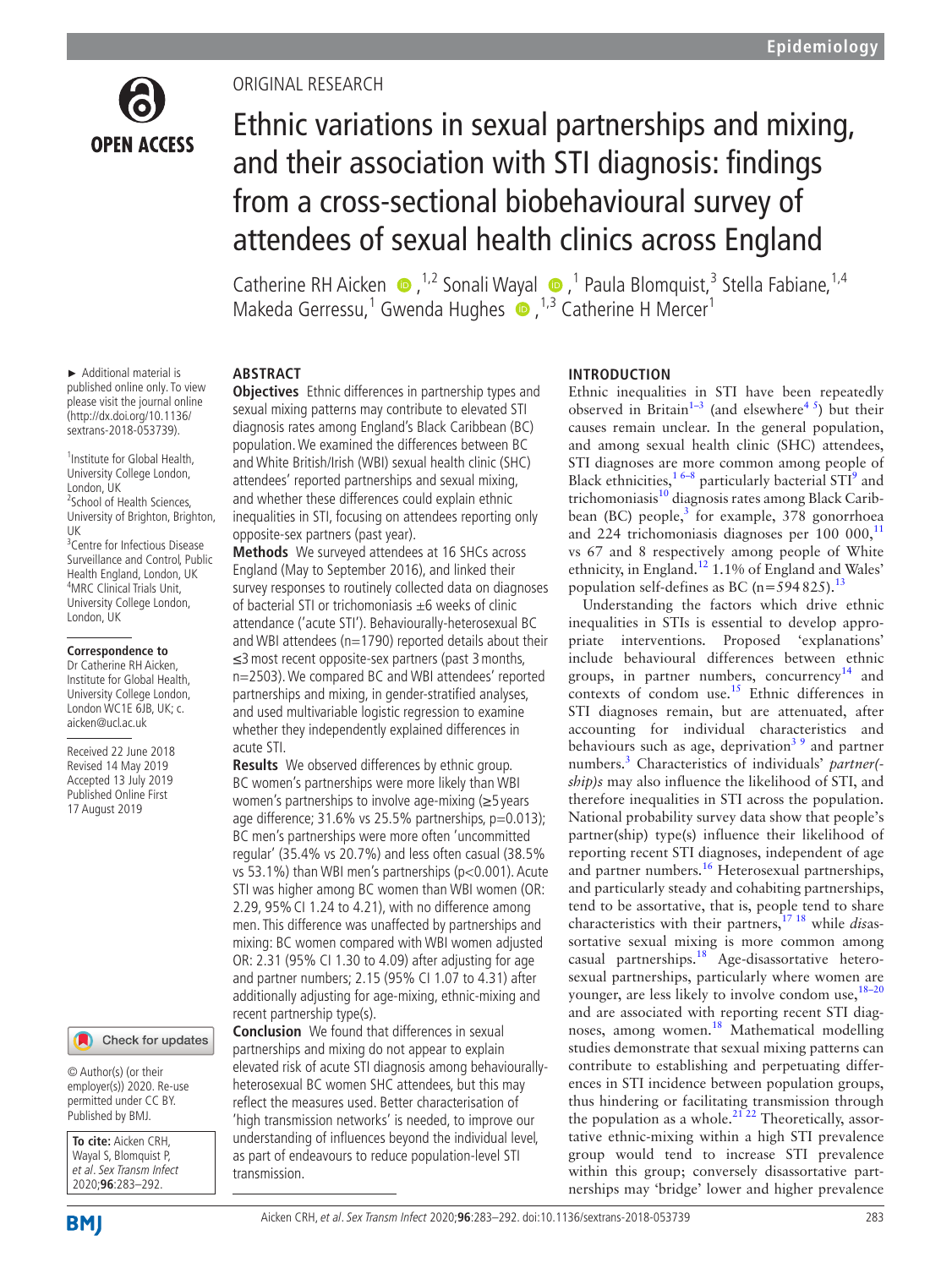

## Original research

# Ethnic variations in sexual partnerships and mixing, and their association with STI diagnosis: findings from a cross-sectional biobehavioural survey of attendees of sexual health clinics across England

Catherine RH Aicken  $\bullet$ , <sup>1,2</sup> Sonali Wayal  $\bullet$ ,<sup>1</sup> Paula Blomquist,<sup>3</sup> Stella Fabiane, <sup>1,4</sup> MakedaGerressu,<sup>1</sup> Gwenda Hughes (D, <sup>1,3</sup> Catherine H Mercer<sup>1</sup>)

► Additional material is published online only. To view please visit the journal online [\(http://dx.doi.org/10.1136/](http://dx.doi.org/10.1136sextrans-2018-053739) [sextrans-2018-053739\)](http://dx.doi.org/10.1136sextrans-2018-053739).

<sup>1</sup> Institute for Global Health, University College London, London, UK <sup>2</sup>School of Health Sciences,

University of Brighton, Brighton,  $\mathsf{U}$ 

<sup>3</sup> Centre for Infectious Disease Surveillance and Control, Public Health England, London, UK <sup>4</sup> <sup>4</sup>MRC Clinical Trials Unit, University College London, London, UK

#### **Correspondence to**

Dr Catherine RH Aicken, Institute for Global Health, University College London, London WC1E 6JB, UK; c. aicken@ucl.ac.uk

Received 22 June 2018 Revised 14 May 2019 Accepted 13 July 2019 Published Online First 17 August 2019

#### Check for updates

© Author(s) (or their employer(s)) 2020. Re-use permitted under CC BY. Published by BMJ.

**To cite:** Aicken CRH, Wayal S, Blomquist P, et al. Sex Transm Infect 2020;**96**:283–292.

**Abstract**

**Objectives** Ethnic differences in partnership types and sexual mixing patterns may contribute to elevated STI diagnosis rates among England's Black Caribbean (BC) population. We examined the differences between BC and White British/Irish (WBI) sexual health clinic (SHC) attendees' reported partnerships and sexual mixing, and whether these differences could explain ethnic inequalities in STI, focusing on attendees reporting only opposite-sex partners (past year).

**Methods** We surveyed attendees at 16 SHCs across England (May to September 2016), and linked their survey responses to routinely collected data on diagnoses of bacterial STI or trichomoniasis  $\pm 6$  weeks of clinic attendance ('acute STI'). Behaviourally-heterosexual BC and WBI attendees ( $n=1790$ ) reported details about their ≤3most recent opposite-sex partners (past 3months, n=2503). We compared BC and WBI attendees' reported partnerships and mixing, in gender-stratified analyses, and used multivariable logistic regression to examine whether they independently explained differences in acute STI.

**Results** We observed differences by ethnic group. BC women's partnerships were more likely than WBI women's partnerships to involve age-mixing (≥5 years age difference; 31.6% vs 25.5% partnerships, p=0.013); BC men's partnerships were more often 'uncommitted regular' (35.4% vs 20.7%) and less often casual (38.5% vs 53.1%) than WBI men's partnerships (p<0.001). Acute STI was higher among BC women than WBI women (OR: 2.29, 95% CI 1.24 to 4.21), with no difference among men. This difference was unaffected by partnerships and mixing: BC women compared with WBI women adjusted OR: 2.31 (95% CI 1.30 to 4.09) after adjusting for age and partner numbers; 2.15 (95% CI 1.07 to 4.31) after additionally adjusting for age-mixing, ethnic-mixing and recent partnership type(s).

**Conclusion** We found that differences in sexual partnerships and mixing do not appear to explain elevated risk of acute STI diagnosis among behaviourallyheterosexual BC women SHC attendees, but this may reflect the measures used. Better characterisation of 'high transmission networks' is needed, to improve our understanding of influences beyond the individual level, as part of endeavours to reduce population-level STI transmission.

## **Introduction**

Ethnic inequalities in STI have been repeatedly observed in Britain<sup>1–3</sup> (and elsewhere<sup>4 5</sup>) but their causes remain unclear. In the general population, and among sexual health clinic (SHC) attendees, STI diagnoses are more common among people of Black ethnicities, $16-8$  particularly bacterial STI<sup>9</sup> and trichomoniasis $^{10}$  diagnosis rates among Black Caribbean (BC) people, $3$  for example, 378 gonorrhoea and 224 trichomoniasis diagnoses per 100 000, $^{11}$  $^{11}$  $^{11}$ vs 67 and 8 respectively among people of White ethnicity, in England.[12](#page-8-6) 1.1% of England and Wales' population self-defines as BC ( $n=594825$ ).<sup>[13](#page-8-7)</sup>

Understanding the factors which drive ethnic inequalities in STIs is essential to develop appropriate interventions. Proposed 'explanations' include behavioural differences between ethnic groups, in partner numbers, concurrency<sup>[14](#page-8-8)</sup> and contexts of condom use.<sup>[15](#page-8-9)</sup> Ethnic differences in STI diagnoses remain, but are attenuated, after accounting for individual characteristics and behaviours such as age, deprivation<sup>39</sup> and partner numbers.[3](#page-8-4) Characteristics of individuals' *partner( ship)s* may also influence the likelihood of STI, and therefore inequalities in STI across the population. National probability survey data show that people's partner(ship) type(s) influence their likelihood of reporting recent STI diagnoses, independent of age and partner numbers.<sup>[16](#page-8-10)</sup> Heterosexual partnerships, and particularly steady and cohabiting partnerships, tend to be assortative, that is, people tend to share characteristics with their partners,[17 18](#page-8-11) while *dis*assortative sexual mixing is more common among casual partnerships.<sup>18</sup> Age-disassortative heterosexual partnerships, particularly where women are younger, are less likely to involve condom use,  $18-20$ and are associated with reporting recent STI diag-noses, among women.<sup>[18](#page-8-12)</sup> Mathematical modelling studies demonstrate that sexual mixing patterns can contribute to establishing and perpetuating differences in STI incidence between population groups, thus hindering or facilitating transmission through the population as a whole. $21$ <sup>22</sup> Theoretically, assortative ethnic-mixing within a high STI prevalence group would tend to increase STI prevalence within this group; conversely disassortative partnerships may 'bridge' lower and higher prevalence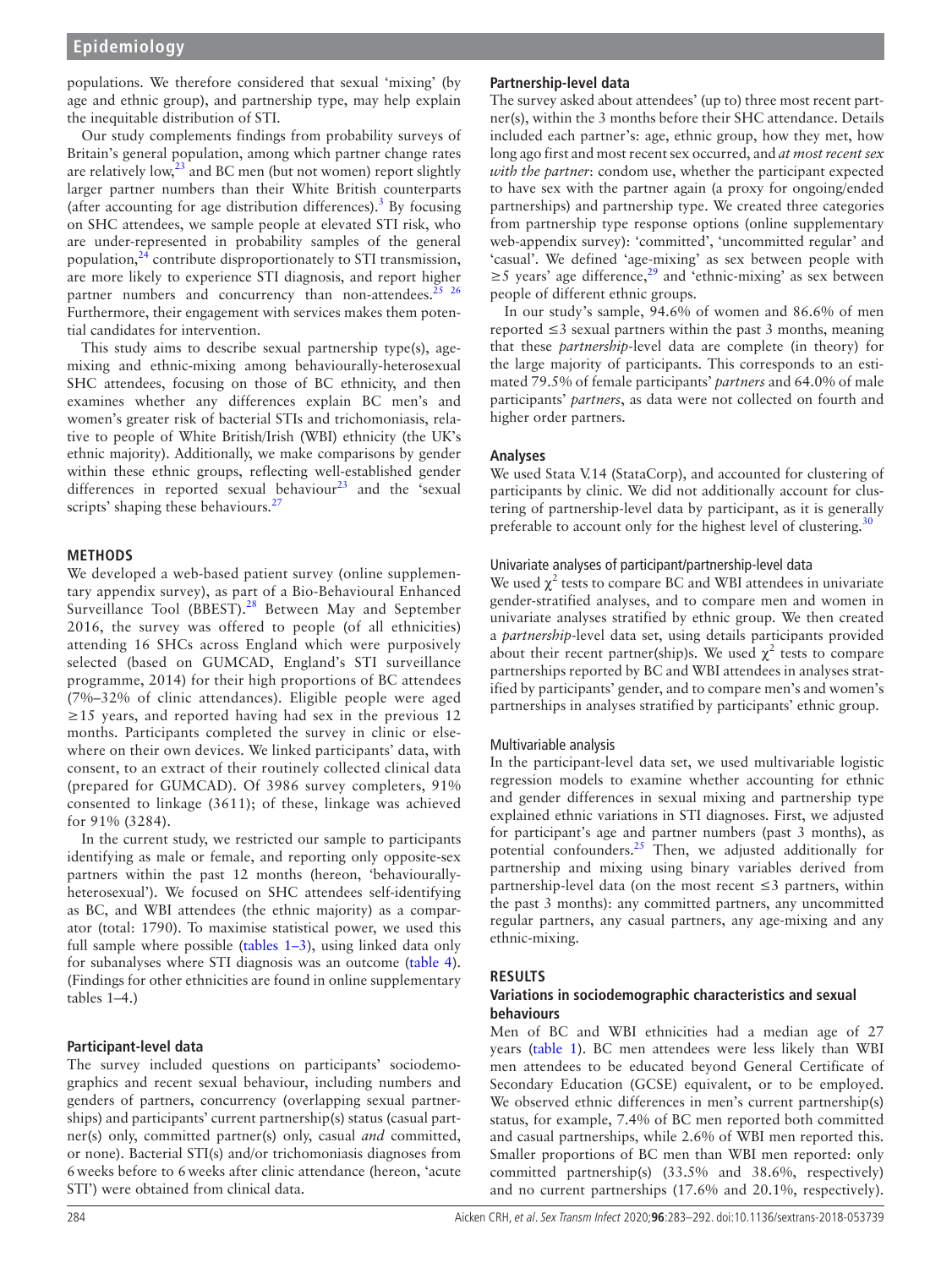populations. We therefore considered that sexual 'mixing' (by age and ethnic group), and partnership type, may help explain the inequitable distribution of STI.

Our study complements findings from probability surveys of Britain's general population, among which partner change rates are relatively low, $23$  and BC men (but not women) report slightly larger partner numbers than their White British counterparts (after accounting for age distribution differences).<sup>[3](#page-8-4)</sup> By focusing on SHC attendees, we sample people at elevated STI risk, who are under-represented in probability samples of the general population, $^{24}$  $^{24}$  $^{24}$  contribute disproportionately to STI transmission, are more likely to experience STI diagnosis, and report higher partner numbers and concurrency than non-attendees.<sup>25</sup>  $26$ Furthermore, their engagement with services makes them potential candidates for intervention.

This study aims to describe sexual partnership type(s), agemixing and ethnic-mixing among behaviourally-heterosexual SHC attendees, focusing on those of BC ethnicity, and then examines whether any differences explain BC men's and women's greater risk of bacterial STIs and trichomoniasis, relative to people of White British/Irish (WBI) ethnicity (the UK's ethnic majority). Additionally, we make comparisons by gender within these ethnic groups, reflecting well-established gender differences in reported sexual behaviour<sup>23</sup> and the 'sexual scripts' shaping these behaviours.<sup>27</sup>

## **Methods**

We developed a web-based patient survey ([online supplemen](https://dx.doi.org/10.1136/sextrans-2018-053739)[tary appendix survey\)](https://dx.doi.org/10.1136/sextrans-2018-053739), as part of a Bio-Behavioural Enhanced Surveillance Tool (BBEST).<sup>[28](#page-8-18)</sup> Between May and September 2016, the survey was offered to people (of all ethnicities) attending 16 SHCs across England which were purposively selected (based on GUMCAD, England's STI surveillance programme, 2014) for their high proportions of BC attendees (7%–32% of clinic attendances). Eligible people were aged ≥15 years, and reported having had sex in the previous 12 months. Participants completed the survey in clinic or elsewhere on their own devices. We linked participants' data, with consent, to an extract of their routinely collected clinical data (prepared for GUMCAD). Of 3986 survey completers, 91% consented to linkage (3611); of these, linkage was achieved for 91% (3284).

In the current study, we restricted our sample to participants identifying as male or female, and reporting only opposite-sex partners within the past 12 months (hereon, 'behaviourallyheterosexual'). We focused on SHC attendees self-identifying as BC, and WBI attendees (the ethnic majority) as a comparator (total: 1790). To maximise statistical power, we used this full sample where possible [\(tables](#page-2-0) 1–3), using linked data only for subanalyses where STI diagnosis was an outcome [\(table](#page-6-0) 4). (Findings for other ethnicities are found in [online supplementary](https://dx.doi.org/10.1136/sextrans-2018-053739)  [tables 1–4.](https://dx.doi.org/10.1136/sextrans-2018-053739))

## **Participant-level data**

The survey included questions on participants' sociodemographics and recent sexual behaviour, including numbers and genders of partners, concurrency (overlapping sexual partnerships) and participants' current partnership(s) status (casual partner(s) only, committed partner(s) only, casual *and* committed, or none). Bacterial STI(s) and/or trichomoniasis diagnoses from 6weeks before to 6weeks after clinic attendance (hereon, 'acute STI') were obtained from clinical data.

## **Partnership-level data**

The survey asked about attendees' (up to) three most recent partner(s), within the 3 months before their SHC attendance. Details included each partner's: age, ethnic group, how they met, how long ago first and most recent sex occurred, and *at most recent sex with the partner*: condom use, whether the participant expected to have sex with the partner again (a proxy for ongoing/ended partnerships) and partnership type. We created three categories from partnership type response options [\(online supplementary](https://dx.doi.org/10.1136/sextrans-2018-053739) [web-appendix survey\)](https://dx.doi.org/10.1136/sextrans-2018-053739): 'committed', 'uncommitted regular' and 'casual'. We defined 'age-mixing' as sex between people with  $≥5$  years' age difference,<sup>29</sup> and 'ethnic-mixing' as sex between people of different ethnic groups.

In our study's sample, 94.6% of women and 86.6% of men reported  $\leq$ 3 sexual partners within the past 3 months, meaning that these *partnership*-level data are complete (in theory) for the large majority of participants. This corresponds to an estimated 79.5% of female participants' *partners* and 64.0% of male participants' *partners*, as data were not collected on fourth and higher order partners.

## **Analyses**

We used Stata V.14 (StataCorp), and accounted for clustering of participants by clinic. We did not additionally account for clustering of partnership-level data by participant, as it is generally preferable to account only for the highest level of clustering.<sup>31</sup>

## Univariate analyses of participant/partnership-level data

We used  $\chi^2$  tests to compare BC and WBI attendees in univariate gender-stratified analyses, and to compare men and women in univariate analyses stratified by ethnic group. We then created a *partnership*-level data set, using details participants provided about their recent partner(ship)s. We used  $\chi^2$  tests to compare partnerships reported by BC and WBI attendees in analyses stratified by participants' gender, and to compare men's and women's partnerships in analyses stratified by participants' ethnic group.

### Multivariable analysis

In the participant-level data set, we used multivariable logistic regression models to examine whether accounting for ethnic and gender differences in sexual mixing and partnership type explained ethnic variations in STI diagnoses. First, we adjusted for participant's age and partner numbers (past 3 months), as potential confounders. $25$  Then, we adjusted additionally for partnership and mixing using binary variables derived from partnership-level data (on the most recent  $\leq$ 3 partners, within the past 3 months): any committed partners, any uncommitted regular partners, any casual partners, any age-mixing and any ethnic-mixing.

### **Results**

## **Variations in sociodemographic characteristics and sexual behaviours**

Men of BC and WBI ethnicities had a median age of 27 years ([table](#page-2-0) 1). BC men attendees were less likely than WBI men attendees to be educated beyond General Certificate of Secondary Education (GCSE) equivalent, or to be employed. We observed ethnic differences in men's current partnership(s) status, for example, 7.4% of BC men reported both committed and casual partnerships, while 2.6% of WBI men reported this. Smaller proportions of BC men than WBI men reported: only committed partnership(s) (33.5% and 38.6%, respectively) and no current partnerships (17.6% and 20.1%, respectively).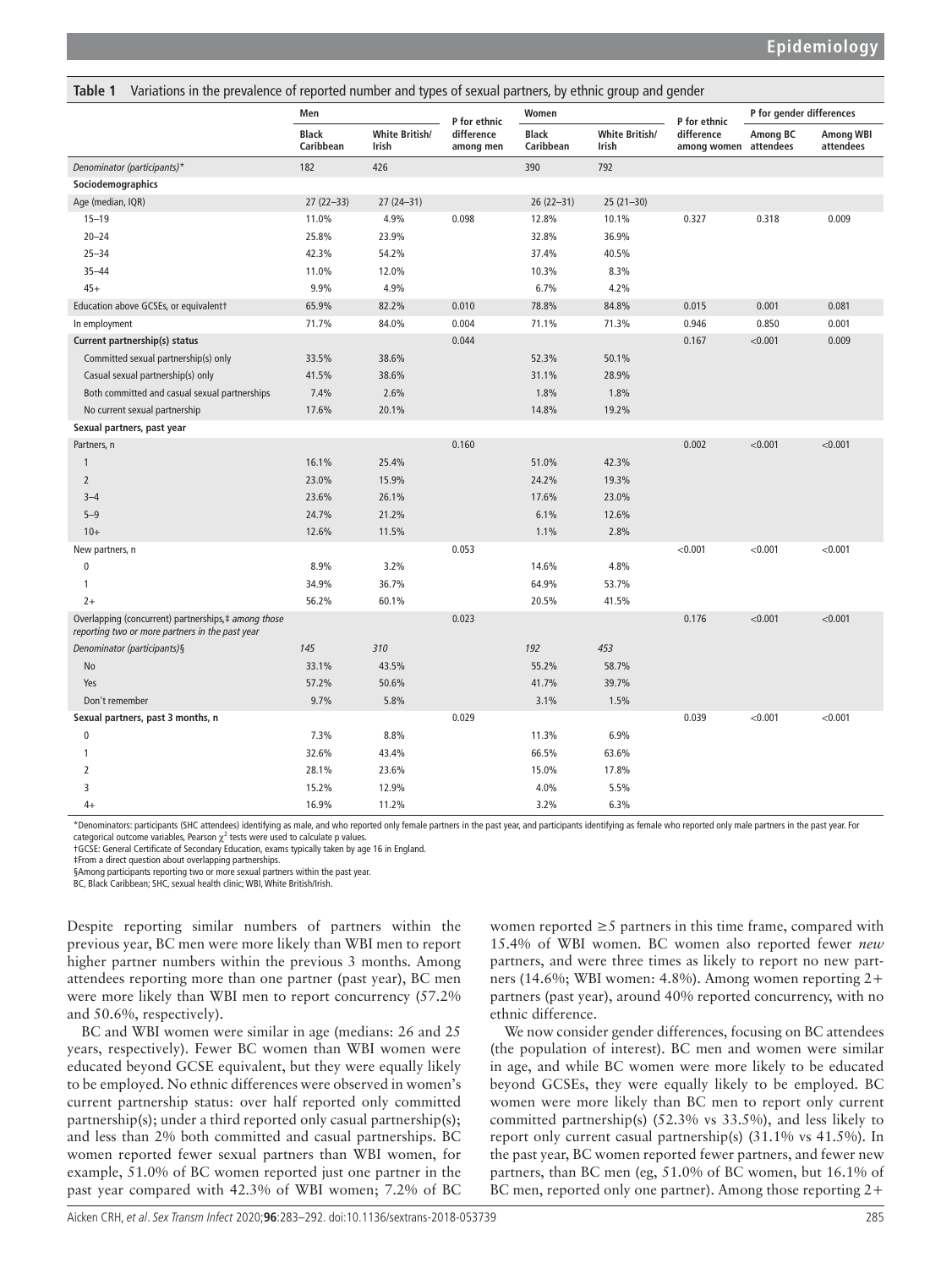| ianic i<br>variations in the prevalence of reported number and types of sexual partners, by ethinc group and genuer |                           |                         |                         |                    |                         |                                     |                          |                               |
|---------------------------------------------------------------------------------------------------------------------|---------------------------|-------------------------|-------------------------|--------------------|-------------------------|-------------------------------------|--------------------------|-------------------------------|
|                                                                                                                     | Men                       |                         | P for ethnic            | Women              |                         | P for ethnic                        | P for gender differences |                               |
|                                                                                                                     | <b>Black</b><br>Caribbean | White British/<br>Irish | difference<br>among men | Black<br>Caribbean | White British/<br>Irish | difference<br>among women attendees | Among BC                 | <b>Among WBI</b><br>attendees |
| Denominator (participants)*                                                                                         | 182                       | 426                     |                         | 390                | 792                     |                                     |                          |                               |
| Sociodemographics                                                                                                   |                           |                         |                         |                    |                         |                                     |                          |                               |
| Age (median, IQR)                                                                                                   | $27(22-33)$               | $27(24-31)$             |                         | $26(22-31)$        | $25(21-30)$             |                                     |                          |                               |
| $15 - 19$                                                                                                           | 11.0%                     | 4.9%                    | 0.098                   | 12.8%              | 10.1%                   | 0.327                               | 0.318                    | 0.009                         |
| $20 - 24$                                                                                                           | 25.8%                     | 23.9%                   |                         | 32.8%              | 36.9%                   |                                     |                          |                               |
| $25 - 34$                                                                                                           | 42.3%                     | 54.2%                   |                         | 37.4%              | 40.5%                   |                                     |                          |                               |
| $35 - 44$                                                                                                           | 11.0%                     | 12.0%                   |                         | 10.3%              | 8.3%                    |                                     |                          |                               |
| $45+$                                                                                                               | 9.9%                      | 4.9%                    |                         | 6.7%               | 4.2%                    |                                     |                          |                               |
| Education above GCSEs, or equivalent†                                                                               | 65.9%                     | 82.2%                   | 0.010                   | 78.8%              | 84.8%                   | 0.015                               | 0.001                    | 0.081                         |
| In employment                                                                                                       | 71.7%                     | 84.0%                   | 0.004                   | 71.1%              | 71.3%                   | 0.946                               | 0.850                    | 0.001                         |
| Current partnership(s) status                                                                                       |                           |                         | 0.044                   |                    |                         | 0.167                               | < 0.001                  | 0.009                         |
| Committed sexual partnership(s) only                                                                                | 33.5%                     | 38.6%                   |                         | 52.3%              | 50.1%                   |                                     |                          |                               |
| Casual sexual partnership(s) only                                                                                   | 41.5%                     | 38.6%                   |                         | 31.1%              | 28.9%                   |                                     |                          |                               |
| Both committed and casual sexual partnerships                                                                       | 7.4%                      | 2.6%                    |                         | 1.8%               | 1.8%                    |                                     |                          |                               |
| No current sexual partnership                                                                                       | 17.6%                     | 20.1%                   |                         | 14.8%              | 19.2%                   |                                     |                          |                               |
| Sexual partners, past year                                                                                          |                           |                         |                         |                    |                         |                                     |                          |                               |
| Partners, n                                                                                                         |                           |                         | 0.160                   |                    |                         | 0.002                               | < 0.001                  | < 0.001                       |
| $\mathbf{1}$                                                                                                        | 16.1%                     | 25.4%                   |                         | 51.0%              | 42.3%                   |                                     |                          |                               |
| $\overline{2}$                                                                                                      | 23.0%                     | 15.9%                   |                         | 24.2%              | 19.3%                   |                                     |                          |                               |
| $3 - 4$                                                                                                             | 23.6%                     | 26.1%                   |                         | 17.6%              | 23.0%                   |                                     |                          |                               |
| $5 - 9$                                                                                                             | 24.7%                     | 21.2%                   |                         | 6.1%               | 12.6%                   |                                     |                          |                               |
| $10+$                                                                                                               | 12.6%                     | 11.5%                   |                         | 1.1%               | 2.8%                    |                                     |                          |                               |
| New partners, n                                                                                                     |                           |                         | 0.053                   |                    |                         | < 0.001                             | < 0.001                  | < 0.001                       |
| 0                                                                                                                   | 8.9%                      | 3.2%                    |                         | 14.6%              | 4.8%                    |                                     |                          |                               |
| $\mathbf{1}$                                                                                                        | 34.9%                     | 36.7%                   |                         | 64.9%              | 53.7%                   |                                     |                          |                               |
| $2+$                                                                                                                | 56.2%                     | 60.1%                   |                         | 20.5%              | 41.5%                   |                                     |                          |                               |
| Overlapping (concurrent) partnerships,# among those<br>reporting two or more partners in the past year              |                           |                         | 0.023                   |                    |                         | 0.176                               | < 0.001                  | < 0.001                       |
| Denominator (participants)§                                                                                         | 145                       | 310                     |                         | 192                | 453                     |                                     |                          |                               |
| No                                                                                                                  | 33.1%                     | 43.5%                   |                         | 55.2%              | 58.7%                   |                                     |                          |                               |
| Yes                                                                                                                 | 57.2%                     | 50.6%                   |                         | 41.7%              | 39.7%                   |                                     |                          |                               |
| Don't remember                                                                                                      | 9.7%                      | 5.8%                    |                         | 3.1%               | 1.5%                    |                                     |                          |                               |
| Sexual partners, past 3 months, n                                                                                   |                           |                         | 0.029                   |                    |                         | 0.039                               | < 0.001                  | < 0.001                       |
| $\pmb{0}$                                                                                                           | 7.3%                      | 8.8%                    |                         | 11.3%              | 6.9%                    |                                     |                          |                               |
| 1                                                                                                                   | 32.6%                     | 43.4%                   |                         | 66.5%              | 63.6%                   |                                     |                          |                               |
| $\overline{2}$                                                                                                      | 28.1%                     | 23.6%                   |                         | 15.0%              | 17.8%                   |                                     |                          |                               |
| 3                                                                                                                   | 15.2%                     | 12.9%                   |                         | 4.0%               | 5.5%                    |                                     |                          |                               |
| $4+$                                                                                                                | 16.9%                     | 11.2%                   |                         | 3.2%               | 6.3%                    |                                     |                          |                               |

<span id="page-2-0"></span>**Table 1** Variations in the prevalence of reported number and types of sexual partners, by ethnic group and gender

\*Denominators: participants (SHC attendees) identifying as male, and who reported only female partners in the past year, and participants identifying as female who reported only male partners in the past year. For categorical outcome variables, Pearson  $\chi^2$  tests were used to calculate p values.

†GCSE: General Certificate of Secondary Education, exams typically taken by age 16 in England.

‡From a direct question about overlapping partnerships.

§Among participants reporting two or more sexual partners within the past year.

BC, Black Caribbean; SHC, sexual health clinic; WBI, White British/Irish

Despite reporting similar numbers of partners within the previous year, BC men were more likely than WBI men to report higher partner numbers within the previous 3 months. Among attendees reporting more than one partner (past year), BC men were more likely than WBI men to report concurrency (57.2% and 50.6%, respectively).

BC and WBI women were similar in age (medians: 26 and 25 years, respectively). Fewer BC women than WBI women were educated beyond GCSE equivalent, but they were equally likely to be employed. No ethnic differences were observed in women's current partnership status: over half reported only committed partnership(s); under a third reported only casual partnership(s); and less than 2% both committed and casual partnerships. BC women reported fewer sexual partners than WBI women, for example, 51.0% of BC women reported just one partner in the past year compared with 42.3% of WBI women; 7.2% of BC

women reported ≥5 partners in this time frame, compared with 15.4% of WBI women. BC women also reported fewer *new* partners, and were three times as likely to report no new partners (14.6%; WBI women: 4.8%). Among women reporting 2+ partners (past year), around 40% reported concurrency, with no ethnic difference.

We now consider gender differences, focusing on BC attendees (the population of interest). BC men and women were similar in age, and while BC women were more likely to be educated beyond GCSEs, they were equally likely to be employed. BC women were more likely than BC men to report only current committed partnership(s) (52.3% vs 33.5%), and less likely to report only current casual partnership(s) (31.1% vs 41.5%). In the past year, BC women reported fewer partners, and fewer new partners, than BC men (eg, 51.0% of BC women, but 16.1% of BC men, reported only one partner). Among those reporting 2+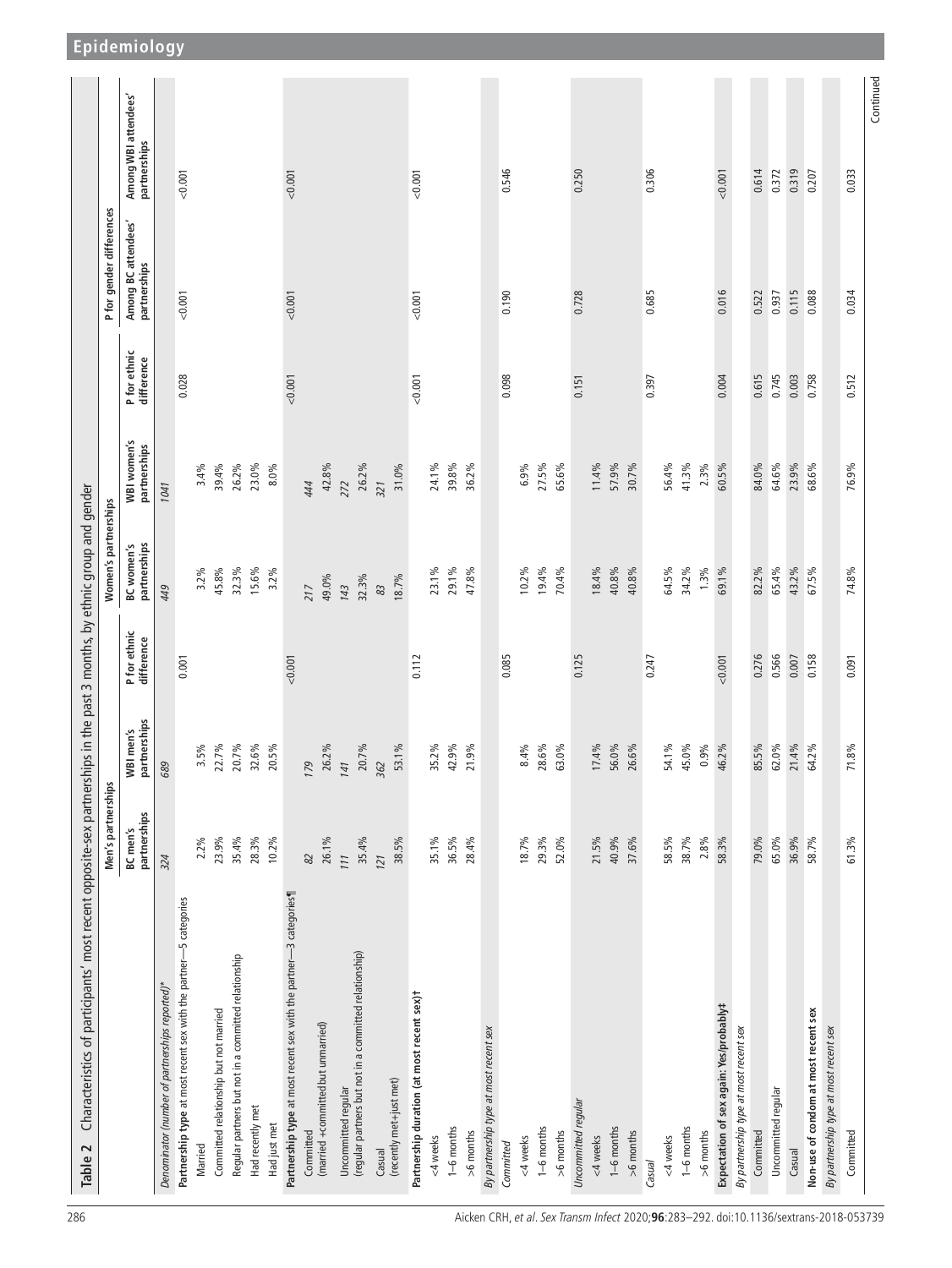<span id="page-3-0"></span>

| Characteristics of participants' most recent opposite-sex partnerships in the past 3 months, by ethnic group and gender<br>Table 2 |                          |                           |                            |                                   |                             |                            |                                     |                                      |
|------------------------------------------------------------------------------------------------------------------------------------|--------------------------|---------------------------|----------------------------|-----------------------------------|-----------------------------|----------------------------|-------------------------------------|--------------------------------------|
|                                                                                                                                    | Men's partnerships       |                           |                            | Women's partnerships              |                             |                            | P for gender differences            |                                      |
|                                                                                                                                    | partnerships<br>BC men's | partnerships<br>WBI men's | P for ethnic<br>difference | partnerships<br><b>BC</b> women's | WBI women's<br>partnerships | P for ethnic<br>difference | Among BC attendees'<br>partnerships | Among WBI attendees'<br>partnerships |
| Denominator (number of partnerships reported)*                                                                                     | 324                      | 689                       |                            | 449                               | 1041                        |                            |                                     |                                      |
| Partnership type at most recent sex with the partner-5 categories                                                                  |                          |                           | 0.001                      |                                   |                             | 0.028                      | 0.001                               | 0.001                                |
| Married                                                                                                                            | 2.2%                     | $3.5\%$                   |                            | 3.2%                              | 3.4%                        |                            |                                     |                                      |
| Committed relationship but not married                                                                                             | 23.9%                    | 22.7%                     |                            | 45.8%                             | 39.4%                       |                            |                                     |                                      |
| Regular partners but not in a committed relationship                                                                               | 35.4%                    | 20.7%                     |                            | 32.3%                             | 26.2%                       |                            |                                     |                                      |
| Had recently met                                                                                                                   | 28.3%                    | $32.6\%$                  |                            | 15.6%                             | 23.0%                       |                            |                                     |                                      |
| Had just met                                                                                                                       | 10.2%                    | 20.5%                     |                            | 3.2%                              | 8.0%                        |                            |                                     |                                      |
| Partnership type at most recent sex with the partner-3 categories¶                                                                 |                          |                           | 0.001                      |                                   |                             | 0.001                      | < 0.001                             | 0.001                                |
| Committed                                                                                                                          | 82                       | 179                       |                            | 217                               | 444                         |                            |                                     |                                      |
| (married +committed but unmarried)                                                                                                 | 26.1%                    | 26.2%                     |                            | 49.0%                             | 42.8%                       |                            |                                     |                                      |
| Uncommitted regular                                                                                                                | 111                      | 141                       |                            | 143                               | 272                         |                            |                                     |                                      |
| (regular partners but not in a committed relationship)                                                                             | 35.4%                    | 20.7%                     |                            | 32.3%                             | 26.2%                       |                            |                                     |                                      |
| (recently met+just met)<br>Casual                                                                                                  | 121                      | 362                       |                            | 83                                | 321                         |                            |                                     |                                      |
|                                                                                                                                    | 38.5%                    | 53.1%                     |                            | 18.7%                             | 31.0%                       |                            |                                     |                                      |
| Partnership duration (at most recent sex)t                                                                                         |                          |                           | 0.112                      |                                   |                             | 0.001                      | 0.001                               | 0.001                                |
| <4 weeks                                                                                                                           | 35.1%                    | 35.2%                     |                            | 23.1%                             | 24.1%                       |                            |                                     |                                      |
| $1-6$ months                                                                                                                       | 36.5%                    | 42.9%                     |                            | 29.1%                             | 39.8%                       |                            |                                     |                                      |
| $>6$ months                                                                                                                        | 28.4%                    | 21.9%                     |                            | 47.8%                             | 36.2%                       |                            |                                     |                                      |
| By partnership type at most recent sex                                                                                             |                          |                           |                            |                                   |                             |                            |                                     |                                      |
| Committed                                                                                                                          |                          |                           | 0.085                      |                                   |                             | 0.098                      | 0.190                               | 0.546                                |
| <4 weeks                                                                                                                           | 18.7%                    | 8.4%                      |                            | $10.2\%$                          | 6.9%                        |                            |                                     |                                      |
| 1-6 months                                                                                                                         | 29.3%                    | 28.6%                     |                            | 19.4%                             | 27.5%                       |                            |                                     |                                      |
| $>6$ months                                                                                                                        | 52.0%                    | 63.0%                     |                            | 70.4%                             | 65.6%                       |                            |                                     |                                      |
| Uncommitted regular                                                                                                                |                          |                           | 0.125                      |                                   |                             | 0.151                      | 0.728                               | 0.250                                |
| <4 weeks                                                                                                                           | 21.5%                    | 17.4%                     |                            | 18.4%                             | 11.4%                       |                            |                                     |                                      |
| $1-6$ months                                                                                                                       | 40.9%                    | 56.0%                     |                            | 40.8%                             | 57.9%                       |                            |                                     |                                      |
| >6 months                                                                                                                          | 37.6%                    | 26.6%                     |                            | 40.8%                             | 30.7%                       |                            |                                     |                                      |
| Casual                                                                                                                             |                          |                           | 0.247                      |                                   |                             | 0.397                      | 0.685                               | 0.306                                |
| <4 weeks                                                                                                                           | 58.5%                    | 54.1%                     |                            | 64.5%                             | 56.4%                       |                            |                                     |                                      |
| 1-6 months                                                                                                                         | 38.7%                    | 45.0%                     |                            | 34.2%                             | 41.3%                       |                            |                                     |                                      |
| >6 months                                                                                                                          | 2.8%                     | 0.9%                      |                            | $1.3\%$                           | 2.3%                        |                            |                                     |                                      |
| Expectation of sex again: Yes/probably#                                                                                            | 58.3%                    | 46.2%                     | 0.001                      | 69.1%                             | 60.5%                       | 0.004                      | 0.016                               | 0.001                                |
| By partnership type at most recent sex                                                                                             |                          |                           |                            |                                   |                             |                            |                                     |                                      |
| Committed                                                                                                                          | 79.0%                    | 85.5%                     | 0.276                      | 82.2%                             | 84.0%                       | 0.615                      | 0.522                               | 0.614                                |
| Uncommitted regular                                                                                                                | 65.0%                    | $62.0\%$                  | 0.566                      | 65.4%                             | 64.6%                       | 0.745                      | 0.937                               | 0.372                                |
| Casual                                                                                                                             | 36.9%                    | 21.4%                     | 0.007                      | 43.2%                             | 23.9%                       | 0.003                      | 0.115                               | 0.319                                |
| Non-use of condom at most recent sex                                                                                               | 58.7%                    | 64.2%                     | 0.158                      | 67.5%                             | 68.6%                       | 0.758                      | 0.088                               | 0.207                                |
| By partnership type at most recent sex                                                                                             |                          |                           |                            |                                   |                             |                            |                                     |                                      |
| Committed                                                                                                                          | 61.3%                    | 71.8%                     | 0.091                      | 74.8%                             | 76.9%                       | 0.512                      | 0.034                               | 0.033                                |
|                                                                                                                                    |                          |                           |                            |                                   |                             |                            |                                     | Continued                            |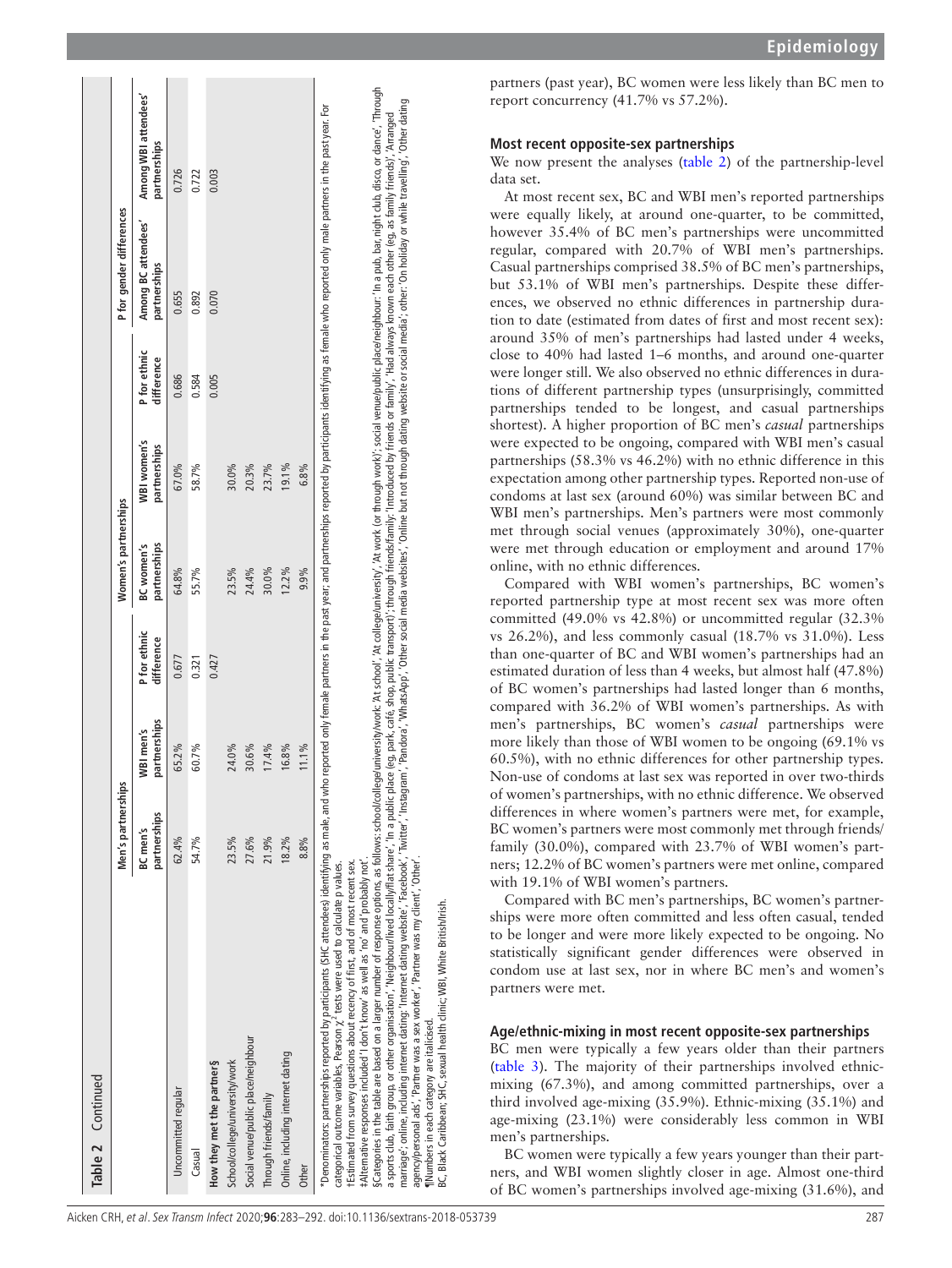| Table 2 Continued                                                                                                                                                                                                                                                                                                                                                                                                                                                                                                                                                                                                                                                                                                                                                                                                                                                                                                                                                                                                                                                                                                                                                                                      |                          |                           |                            |                            |                             |                            |                                     |                                     |
|--------------------------------------------------------------------------------------------------------------------------------------------------------------------------------------------------------------------------------------------------------------------------------------------------------------------------------------------------------------------------------------------------------------------------------------------------------------------------------------------------------------------------------------------------------------------------------------------------------------------------------------------------------------------------------------------------------------------------------------------------------------------------------------------------------------------------------------------------------------------------------------------------------------------------------------------------------------------------------------------------------------------------------------------------------------------------------------------------------------------------------------------------------------------------------------------------------|--------------------------|---------------------------|----------------------------|----------------------------|-----------------------------|----------------------------|-------------------------------------|-------------------------------------|
|                                                                                                                                                                                                                                                                                                                                                                                                                                                                                                                                                                                                                                                                                                                                                                                                                                                                                                                                                                                                                                                                                                                                                                                                        | Men's partnerships       |                           |                            | Women's partnerships       |                             |                            | P for gender differences            |                                     |
|                                                                                                                                                                                                                                                                                                                                                                                                                                                                                                                                                                                                                                                                                                                                                                                                                                                                                                                                                                                                                                                                                                                                                                                                        | partnerships<br>BC men's | partnerships<br>WBI men's | P for ethnic<br>difference | partnerships<br>BC women's | WBI women's<br>partnerships | P for ethnic<br>difference | Among BC attendees'<br>partnerships | Among WBI attendees<br>partnerships |
| Uncommitted regular                                                                                                                                                                                                                                                                                                                                                                                                                                                                                                                                                                                                                                                                                                                                                                                                                                                                                                                                                                                                                                                                                                                                                                                    | 62.4%                    | 65.2%                     | 0.677                      | 64.8%                      | 67.0%                       | 0.686                      | 0.655                               | 0.726                               |
| Casual                                                                                                                                                                                                                                                                                                                                                                                                                                                                                                                                                                                                                                                                                                                                                                                                                                                                                                                                                                                                                                                                                                                                                                                                 | 54.7%                    | 60.7%                     | 0.321                      | 55.7%                      | 58.7%                       | 0.584                      | 0.892                               | 0.722                               |
| How they met the partner§                                                                                                                                                                                                                                                                                                                                                                                                                                                                                                                                                                                                                                                                                                                                                                                                                                                                                                                                                                                                                                                                                                                                                                              |                          |                           | 0.427                      |                            |                             | 0.005                      | 0.070                               | 0.003                               |
| School/college/university/work                                                                                                                                                                                                                                                                                                                                                                                                                                                                                                                                                                                                                                                                                                                                                                                                                                                                                                                                                                                                                                                                                                                                                                         | 23.5%                    | 24.0%                     |                            | 23.5%                      | 30.0%                       |                            |                                     |                                     |
| Social venue/public place/neighbour                                                                                                                                                                                                                                                                                                                                                                                                                                                                                                                                                                                                                                                                                                                                                                                                                                                                                                                                                                                                                                                                                                                                                                    | 27.6%                    | 30.6%                     |                            | 24.4%                      | 20.3%                       |                            |                                     |                                     |
| Through friends/family                                                                                                                                                                                                                                                                                                                                                                                                                                                                                                                                                                                                                                                                                                                                                                                                                                                                                                                                                                                                                                                                                                                                                                                 | 21.9%                    | 17.4%                     |                            | 30.0%                      | 23.7%                       |                            |                                     |                                     |
| Online, including internet dating                                                                                                                                                                                                                                                                                                                                                                                                                                                                                                                                                                                                                                                                                                                                                                                                                                                                                                                                                                                                                                                                                                                                                                      | 18.2%                    | 16.8%                     |                            | 12.2%                      | 19.1%                       |                            |                                     |                                     |
| Other                                                                                                                                                                                                                                                                                                                                                                                                                                                                                                                                                                                                                                                                                                                                                                                                                                                                                                                                                                                                                                                                                                                                                                                                  | 8.8%                     | 11.1%                     |                            | 9.9%                       | 6.8%                        |                            |                                     |                                     |
| SCategories in the table are based on a larger number of response options, as follows: school/college/university/work: 'At school/,'At work (or through work)', social verue/public place/neighbour: 'In a pub, bar, night clu<br>narriage'; online, including internet dating; 'Internet dating website', 'Facebook', Twitter', 'Instagram', 'Pandora', 'VhatsApp', 'Other social media websites, 'Online but though dating website or social media', other: 'O<br>Denominators partnerships reported by participants (SHC attendees) identifying as male, and who reported only female part are past year, and partnerships reported by participants identifying as female who reported only mal<br>a sports club, faith group, or other organisation', 'Neighbourflived locally/flat share', 'In a public place (eg, park, café, shop, public transport)'; through friends(family; 'Intendued by friends or family,' Had always k<br>#Alternative responses included 'I don't know' as well as 'no' and 'probably not'.<br>Estimated from survey questions about recency of first, and of most recent sex<br>categorical outcome variables, Pearson $\chi^2$ tests were used to calculate p values. |                          |                           |                            |                            |                             |                            |                                     |                                     |

agency/personal ads', 'Partner was a sex worker', 'Partner was my client', 'Other'.

arannays , yang aki , "Pariyan was a sexunys" mecini ya masuki , "Incercome,"<br>"INumbers in each category are italicised.<br>BC, Black Caribbean; SHC, sexual health clinic; WBI, White Britishnhs.

¶Numbers in each category are italicised.

BC, Black Caribbean; SHC, sexual health clinic; WBI, White British/Irish.

**Epidemiology**

partners (past year), BC women were less likely than BC men to report concurrency (41.7% vs 57.2%).

## **Most recent opposite-sex partnerships**

We now present the analyses ([table](#page-3-0) 2) of the partnership-level data set.

At most recent sex, BC and WBI men's reported partnerships were equally likely, at around one-quarter, to be committed, however 35.4% of BC men's partnerships were uncommitted regular, compared with 20.7% of WBI men's partnerships. Casual partnerships comprised 38.5% of BC men's partnerships, but 53.1% of WBI men's partnerships. Despite these differ ences, we observed no ethnic differences in partnership dura tion to date (estimated from dates of first and most recent sex): around 35% of men's partnerships had lasted under 4 weeks, close to 40% had lasted 1–6 months, and around one-quarter were longer still. We also observed no ethnic differences in dura tions of different partnership types (unsurprisingly, committed partnerships tended to be longest, and casual partnerships shortest). A higher proportion of BC men's *casual* partnerships were expected to be ongoing, compared with WBI men's casual partnerships (58.3% vs 46.2%) with no ethnic difference in this expectation among other partnership types. Reported non-use of condoms at last sex (around 60%) was similar between BC and WBI men's partnerships. Men's partners were most commonly met through social venues (approximately 30%), one-quarter were met through education or employment and around 17% online, with no ethnic differences.

Compared with WBI women's partnerships, BC women's reported partnership type at most recent sex was more often committed (49.0% vs 42.8%) or uncommitted regular (32.3% vs 26.2%), and less commonly casual (18.7% vs 31.0%). Less than one-quarter of BC and WBI women's partnerships had an estimated duration of less than 4 weeks, but almost half (47.8%) of BC women's partnerships had lasted longer than 6 months, compared with 36.2% of WBI women's partnerships. As with men's partnerships, BC women's *casual* partnerships were more likely than those of WBI women to be ongoing (69.1% vs 60.5%), with no ethnic differences for other partnership types. Non-use of condoms at last sex was reported in over two-thirds of women's partnerships, with no ethnic difference. We observed differences in where women's partners were met, for example, BC women's partners were most commonly met through friends/ family (30.0%), compared with 23.7% of WBI women's part ners; 12.2% of BC women's partners were met online, compared with 19.1% of WBI women's partners.

Compared with BC men's partnerships, BC women's partner ships were more often committed and less often casual, tended to be longer and were more likely expected to be ongoing. No statistically significant gender differences were observed in condom use at last sex, nor in where BC men's and women's partners were met.

## **Age/ethnic-mixing in most recent opposite-sex partnerships**

BC men were typically a few years older than their partners ([table](#page-5-0) 3). The majority of their partnerships involved ethnicmixing (67.3%), and among committed partnerships, over a third involved age-mixing (35.9%). Ethnic-mixing (35.1%) and age-mixing (23.1%) were considerably less common in WBI men's partnerships.

BC women were typically a few years younger than their partners, and WBI women slightly closer in age. Almost one-third of BC women's partnerships involved age-mixing (31.6%), and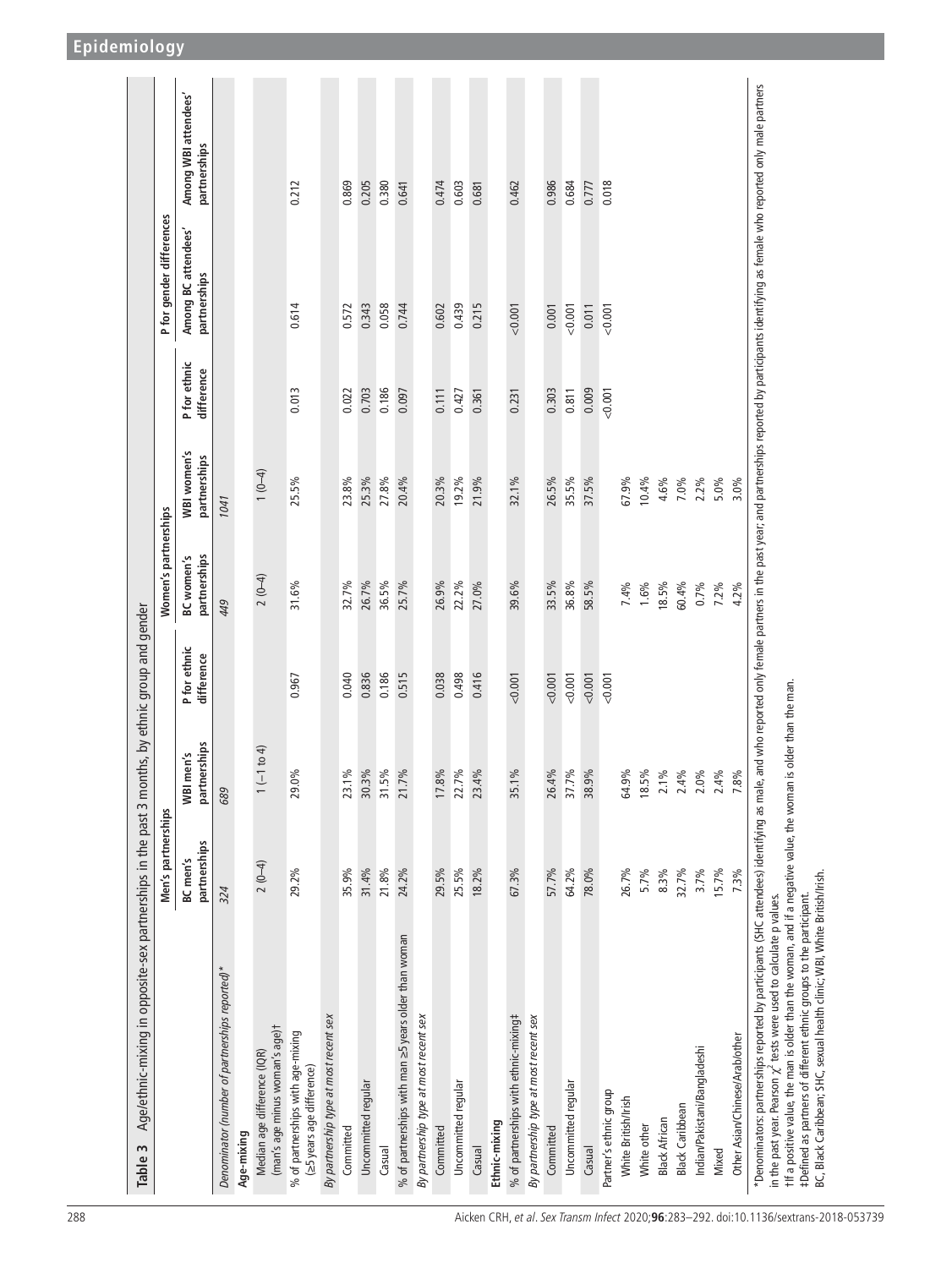| Age/ethnic-mixing in opposite-sex partnerships in the past 3 months, by ethnic group and gender<br>Table 3                                                                                                                                                                                                                                                                                                                      |                          |                                |                            |                                   |                             |                            |                                    |                                      |
|---------------------------------------------------------------------------------------------------------------------------------------------------------------------------------------------------------------------------------------------------------------------------------------------------------------------------------------------------------------------------------------------------------------------------------|--------------------------|--------------------------------|----------------------------|-----------------------------------|-----------------------------|----------------------------|------------------------------------|--------------------------------------|
|                                                                                                                                                                                                                                                                                                                                                                                                                                 | Men's partnerships       |                                |                            | Women's partnerships              |                             |                            | P for gender differences           |                                      |
|                                                                                                                                                                                                                                                                                                                                                                                                                                 | partnerships<br>BC men's | partnerships<br>"BI men's<br>≥ | P for ethnic<br>difference | partnerships<br><b>BC</b> women's | WBI women's<br>partnerships | P for ethnic<br>difference | Among BC attendees<br>partnerships | Among WBI attendees'<br>partnerships |
| Denominator (number of partnerships reported)*                                                                                                                                                                                                                                                                                                                                                                                  | 324                      | 689                            |                            | 449                               | 1041                        |                            |                                    |                                      |
| Age-mixing                                                                                                                                                                                                                                                                                                                                                                                                                      |                          |                                |                            |                                   |                             |                            |                                    |                                      |
| (man's age minus woman's age)t<br>Median age difference (IQR)                                                                                                                                                                                                                                                                                                                                                                   | $2(0-4)$                 | $1(-1 to 4)$                   |                            | $2(0-4)$                          | $1(0-4)$                    |                            |                                    |                                      |
| % of partnerships with age-mixing<br>(≥5 years age difference)                                                                                                                                                                                                                                                                                                                                                                  | 29.2%                    | 29.0%                          | 0.967                      | 31.6%                             | 25.5%                       | 0.013                      | 0.614                              | 0.212                                |
| By partnership type at most recent sex                                                                                                                                                                                                                                                                                                                                                                                          |                          |                                |                            |                                   |                             |                            |                                    |                                      |
| Committed                                                                                                                                                                                                                                                                                                                                                                                                                       | 35.9%                    | 23.1%                          | 0.040                      | 32.7%                             | 23.8%                       | 0.022                      | 0.572                              | 0.869                                |
| Uncommitted regular                                                                                                                                                                                                                                                                                                                                                                                                             | 31.4%                    | 30.3%                          | 0.836                      | 26.7%                             | 25.3%                       | 0.703                      | 0.343                              | 0.205                                |
| Casual                                                                                                                                                                                                                                                                                                                                                                                                                          | 21.8%                    | 31.5%                          | 0.186                      | 36.5%                             | 27.8%                       | 0.186                      | 0.058                              | 0.380                                |
| % of partnerships with man ≥5 years older than woman                                                                                                                                                                                                                                                                                                                                                                            | 24.2%                    | 21.7%                          | 0.515                      | 25.7%                             | 20.4%                       | 0.097                      | 0.744                              | 0.641                                |
| By partnership type at most recent sex                                                                                                                                                                                                                                                                                                                                                                                          |                          |                                |                            |                                   |                             |                            |                                    |                                      |
| Committed                                                                                                                                                                                                                                                                                                                                                                                                                       | 29.5%                    | 17.8%                          | 0.038                      | 26.9%                             | 20.3%                       | 0.111                      | 0.602                              | 0.474                                |
| Uncommitted regular                                                                                                                                                                                                                                                                                                                                                                                                             | 25.5%                    | 22.7%                          | 0.498                      | 22.2%                             | 19.2%                       | 0.427                      | 0.439                              | 0.603                                |
| Casual                                                                                                                                                                                                                                                                                                                                                                                                                          | 18.2%                    | 23.4%                          | 0.416                      | 27.0%                             | 21.9%                       | 0.361                      | 0.215                              | 0.681                                |
| Ethnic-mixing                                                                                                                                                                                                                                                                                                                                                                                                                   |                          |                                |                            |                                   |                             |                            |                                    |                                      |
| % of partnerships with ethnic-mixing#                                                                                                                                                                                                                                                                                                                                                                                           | 67.3%                    | 35.1%                          | 0.001                      | 39.6%                             | 32.1%                       | 0.231                      | 0.001                              | 0.462                                |
| By partnership type at most recent sex                                                                                                                                                                                                                                                                                                                                                                                          |                          |                                |                            |                                   |                             |                            |                                    |                                      |
| Committed                                                                                                                                                                                                                                                                                                                                                                                                                       | 57.7%                    | 26.4%                          | 0.001                      | 33.5%                             | 26.5%                       | 0.303                      | 0.001                              | 0.986                                |
| Uncommitted regular                                                                                                                                                                                                                                                                                                                                                                                                             | 64.2%                    | 37.7%                          | 0.001                      | 36.8%                             | 35.5%                       | 0.811                      | 0.001                              | 0.684                                |
| Casual                                                                                                                                                                                                                                                                                                                                                                                                                          | 78.0%                    | 38.9%                          | 0.001                      | 58.5%                             | 37.5%                       | 0.009                      | 0.011                              | 0.777                                |
| Partner's ethnic group                                                                                                                                                                                                                                                                                                                                                                                                          |                          |                                | 0.001                      |                                   |                             | < 0.001                    | 0.001                              | 0.018                                |
| White British/Irish                                                                                                                                                                                                                                                                                                                                                                                                             | 26.7%                    | 64.9%                          |                            | 7.4%                              | 67.9%                       |                            |                                    |                                      |
| White other                                                                                                                                                                                                                                                                                                                                                                                                                     | 5.7%                     | 18.5%                          |                            | $1.6\%$                           | 10.4%                       |                            |                                    |                                      |
| <b>Black African</b>                                                                                                                                                                                                                                                                                                                                                                                                            | 8.3%                     | $2.1\%$                        |                            | 18.5%                             | 4.6%                        |                            |                                    |                                      |
| Black Caribbean                                                                                                                                                                                                                                                                                                                                                                                                                 | 32.7%                    | 2.4%                           |                            | 60.4%                             | 7.0%                        |                            |                                    |                                      |
| Indian/Pakistani/Bangladeshi                                                                                                                                                                                                                                                                                                                                                                                                    | 3.7%                     | $2.0\%$                        |                            | $0.7\%$                           | 2.2%                        |                            |                                    |                                      |
| Mixed                                                                                                                                                                                                                                                                                                                                                                                                                           | 15.7%                    | 2.4%                           |                            | 7.2%                              | 5.0%                        |                            |                                    |                                      |
| Other Asian/Chinese/Arab/other                                                                                                                                                                                                                                                                                                                                                                                                  | 7.3%                     | 7.8%                           |                            | 4.2%                              | 3.0%                        |                            |                                    |                                      |
| *Denominators: partnerships reported by participants (SHC attendees) identifying as male, and who reported only female partners in the past year; and partnerships reported by participants identifying as female who reported<br>t ff a positive value, the man is older than the woman, and if a negative value, the woman is older than the man<br>in the past year. Pearson $\chi^2$ tests were used to calculate p values. |                          |                                |                            |                                   |                             |                            |                                    |                                      |
| BC, Black Caribbean; SHC, sexual health clinic; WBI, White British/Irish.<br>#Defined as partners of different ethnic groups to the participant.                                                                                                                                                                                                                                                                                |                          |                                |                            |                                   |                             |                            |                                    |                                      |

<span id="page-5-0"></span>288 Aicken CRH, et al. Sex Transm Infect 2020;**96**:283–292. doi:10.1136/sextrans-2018-053739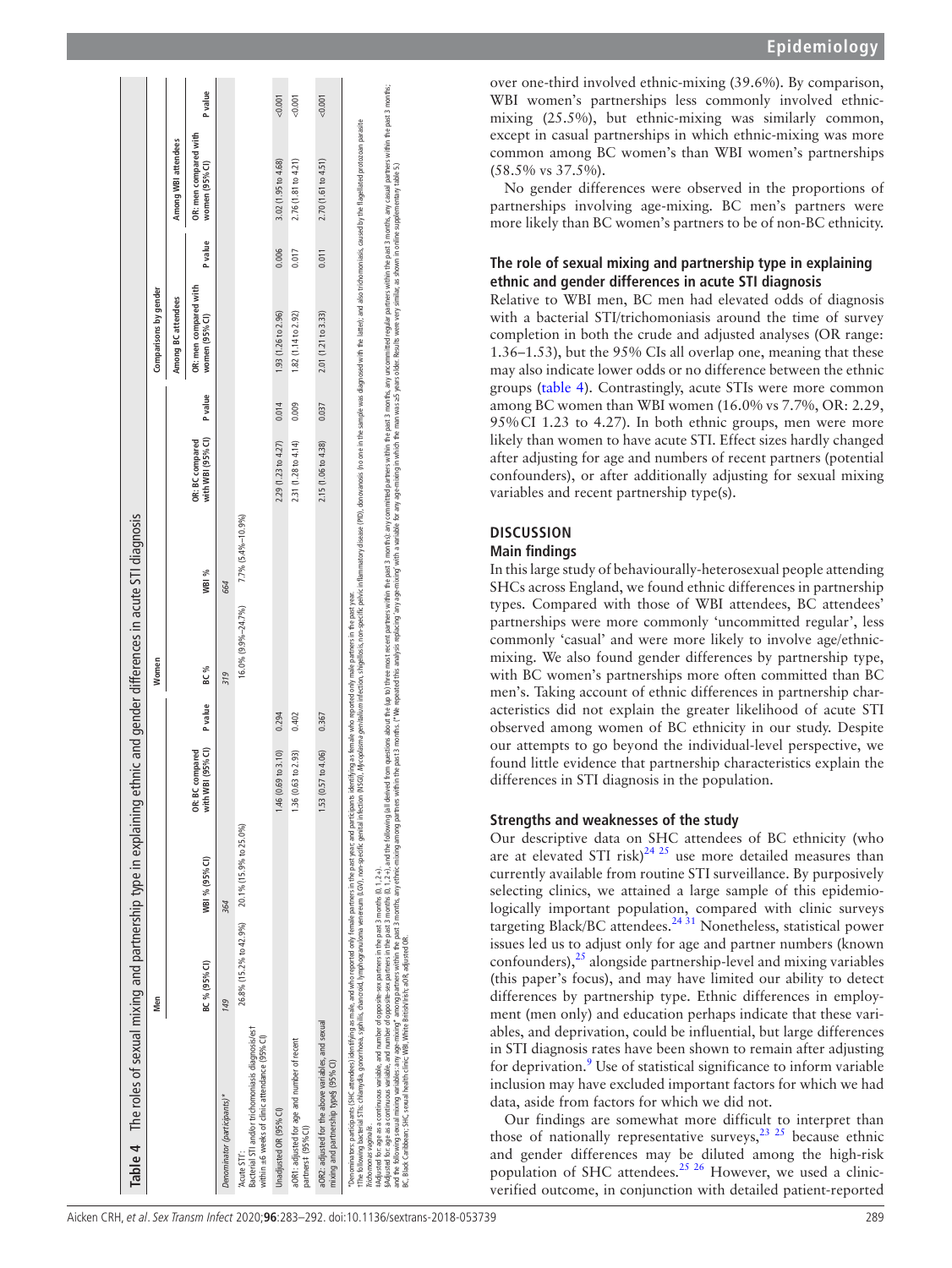| Table 4 The roles of sexual mixing and partnership type in explaining                                                                                                                                                                                                                                                                                                                                                                                                                                                                                                                                                                                                                                                                                                                                                                                                                                                                                                                                   |                        |                        |                                                     |                | ethnic and gender differences in acute STI diagnosis                    |                   |                                      |         |                                         |         |                                                                                                                                                                                                                                |                |
|---------------------------------------------------------------------------------------------------------------------------------------------------------------------------------------------------------------------------------------------------------------------------------------------------------------------------------------------------------------------------------------------------------------------------------------------------------------------------------------------------------------------------------------------------------------------------------------------------------------------------------------------------------------------------------------------------------------------------------------------------------------------------------------------------------------------------------------------------------------------------------------------------------------------------------------------------------------------------------------------------------|------------------------|------------------------|-----------------------------------------------------|----------------|-------------------------------------------------------------------------|-------------------|--------------------------------------|---------|-----------------------------------------|---------|--------------------------------------------------------------------------------------------------------------------------------------------------------------------------------------------------------------------------------|----------------|
|                                                                                                                                                                                                                                                                                                                                                                                                                                                                                                                                                                                                                                                                                                                                                                                                                                                                                                                                                                                                         | Men                    |                        |                                                     |                | Women                                                                   |                   |                                      |         | Comparisons by gender                   |         |                                                                                                                                                                                                                                |                |
|                                                                                                                                                                                                                                                                                                                                                                                                                                                                                                                                                                                                                                                                                                                                                                                                                                                                                                                                                                                                         |                        |                        |                                                     |                |                                                                         |                   |                                      |         | Among BC attendees                      |         | Among WBI attendees                                                                                                                                                                                                            |                |
|                                                                                                                                                                                                                                                                                                                                                                                                                                                                                                                                                                                                                                                                                                                                                                                                                                                                                                                                                                                                         | BC % (95% CI)          | WBI % (95% CI)         | WBI (95% CI)<br><b>BC</b> compared<br>with<br>OR: I | <b>P</b> value | BC %                                                                    | WBI %             | with WBI (95% CI)<br>OR: BC compared | P value | OR: men compared with<br>women (95% CI) | P value | OR: men compared with<br>women (95% CI)                                                                                                                                                                                        | <b>P</b> value |
| Denominator (participants)*                                                                                                                                                                                                                                                                                                                                                                                                                                                                                                                                                                                                                                                                                                                                                                                                                                                                                                                                                                             | 149                    | 364                    |                                                     |                | 319                                                                     | 664               |                                      |         |                                         |         |                                                                                                                                                                                                                                |                |
| Bacterial STI and/or trichomoniasis diagnosis/est<br>within ±6 weeks of clinic attendance (95% CI)<br>'Acute STI':                                                                                                                                                                                                                                                                                                                                                                                                                                                                                                                                                                                                                                                                                                                                                                                                                                                                                      | 26.8% (15.2% to 42.9%) | 20.1% (15.9% to 25.0%) |                                                     |                | 16.0% (9.9%-24.7%)                                                      | 7.7% (5.4%-10.9%) |                                      |         |                                         |         |                                                                                                                                                                                                                                |                |
| Unadjusted OR (95% CI)                                                                                                                                                                                                                                                                                                                                                                                                                                                                                                                                                                                                                                                                                                                                                                                                                                                                                                                                                                                  |                        |                        | 1.46 (0.69 to 3.10)                                 | 0.294          |                                                                         |                   | 2.29 (1.23 to 4.27)                  | 0.014   | 1.93 (1.26 to 2.96)                     | 0.006   | 3.02 (1.95 to 4.68)                                                                                                                                                                                                            | 0.001          |
| aOR1: adjusted for age and number of recent<br>partners# (95% CI)                                                                                                                                                                                                                                                                                                                                                                                                                                                                                                                                                                                                                                                                                                                                                                                                                                                                                                                                       |                        |                        | 1.36 (0.63 to 2.93)                                 | 0.402          |                                                                         |                   | 2.31 (1.28 to 4.14)                  | 0.009   | 1.82(1.14 to 2.92)                      | 0.017   | 2.76(1.81 to 4.21)                                                                                                                                                                                                             | 0.001          |
| aOR2: adjusted for the above variables, and sexual<br>mixing and partnership type§ (95% CI)                                                                                                                                                                                                                                                                                                                                                                                                                                                                                                                                                                                                                                                                                                                                                                                                                                                                                                             |                        |                        | (0.57 to 4.06)<br>1.53                              | 0.367          |                                                                         |                   | 2.15 (1.06 to 4.38)                  | 0.037   | 2.01 (1.21 to 3.33)                     | 0.011   | 2.70(1.61 to 4.51)                                                                                                                                                                                                             | <0.001         |
| sydicked for age as a continuous variable and mobile sequently of the past 3 months (0,12+), and the following (all derived from questions about the (up to the rest not resent partnes within the past 3 months; any under wi<br>and the following sexual maining sure among partners with ithe past 3 months, any ethnic milion games within the past 3 months. ("We repated this analysis replacing amy age-mixing with a vanishe for any age-mixing in which<br>"Denominators: participants (SHC attendees) identifying as male, and who reported only female partners in the past year; and participants<br>r The following bacterial STIs: chlamydia, gonomhoea, syphilis, chancroid, lymphogranuloma venereum (LGV), non-specific genital infection<br>#Adjusted for: age as a continuous variable, and number of opposite-sex partners in the past 3 months (0, 1, 2+).<br>BC, Black Caribbean; SHC, sexual health dinic; WBI, White British/Irish; aOR, adjusted OR.<br>Trichomonas vaginalis. |                        |                        |                                                     |                | identifying as female who reported only male partners in the past year. |                   |                                      |         |                                         |         | (NSG), Mycoplasma genitalium infection, shigellosis, non-specific pelvic inflammatory disease (PID), donovanosis (no one in the sample was diagnosed with the latter); and also trichomoniasis, caused by the flagellated prot |                |

**Epidemiology**

over one-third involved ethnic-mixing (39.6%). By comparison, WBI women's partnerships less commonly involved ethnicmixing (25.5%), but ethnic-mixing was similarly common, except in casual partnerships in which ethnic-mixing was more common among BC women's than WBI women's partnerships (58.5% vs 37.5%).

No gender differences were observed in the proportions of partnerships involving age-mixing. BC men's partners were more likely than BC women's partners to be of non-BC ethnicity.

## **The role of sexual mixing and partnership type in explaining ethnic and gender differences in acute STI diagnosis**

Relative to WBI men, BC men had elevated odds of diagnosis with a bacterial STI/trichomoniasis around the time of survey completion in both the crude and adjusted analyses (OR range: 1.36–1.53), but the 95% CIs all overlap one, meaning that these may also indicate lower odds or no difference between the ethnic groups ([table](#page-6-0) 4). Contrastingly, acute STIs were more common among BC women than WBI women (16.0% vs 7.7%, OR: 2.29, 95%CI 1.23 to 4.27). In both ethnic groups, men were more likely than women to have acute STI. Effect sizes hardly changed after adjusting for age and numbers of recent partners (potential confounders), or after additionally adjusting for sexual mixing variables and recent partnership type(s).

## **Di s cussio n**

## **Main findings**

In this large study of behaviourally-heterosexual people attending SHCs across England, we found ethnic differences in partnership types. Compared with those of WBI attendees, BC attendees' partnerships were more commonly 'uncommitted regular', less commonly 'casual' and were more likely to involve age/ethnicmixing. We also found gender differences by partnership type, with BC women's partnerships more often committed than BC men's. Taking account of ethnic differences in partnership char acteristics did not explain the greater likelihood of acute STI observed among women of BC ethnicity in our study. Despite our attempts to go beyond the individual-level perspective, we found little evidence that partnership characteristics explain the differences in STI diagnosis in the population.

## **Strengths and weaknesses of the study**

Our descriptive data on SHC attendees of BC ethnicity (who are at elevated STI risk) $^{24}$  <sup>25</sup> use more detailed measures than currently available from routine STI surveillance. By purposively selecting clinics, we attained a large sample of this epidemiologically important population, compared with clinic surveys targeting Black/BC attendees.<sup>24 31</sup> Nonetheless, statistical power issues led us to adjust only for age and partner numbers (known confounders), $^{25}$  alongside partnership-level and mixing variables (this paper's focus), and may have limited our ability to detect differences by partnership type. Ethnic differences in employ ment (men only) and education perhaps indicate that these vari ables, and deprivation, could be influential, but large differences in STI diagnosis rates have been shown to remain after adjusting for deprivation.<sup>[9](#page-8-2)</sup> Use of statistical significance to inform variable inclusion may have excluded important factors for which we had data, aside from factors for which we did not.

<span id="page-6-0"></span>Our findings are somewhat more difficult to interpret than those of nationally representative surveys,  $23 \times 25$  because ethnic and gender differences may be diluted among the high-risk population of SHC attendees.[25 26](#page-8-16) However, we used a clinicverified outcome, in conjunction with detailed patient-reported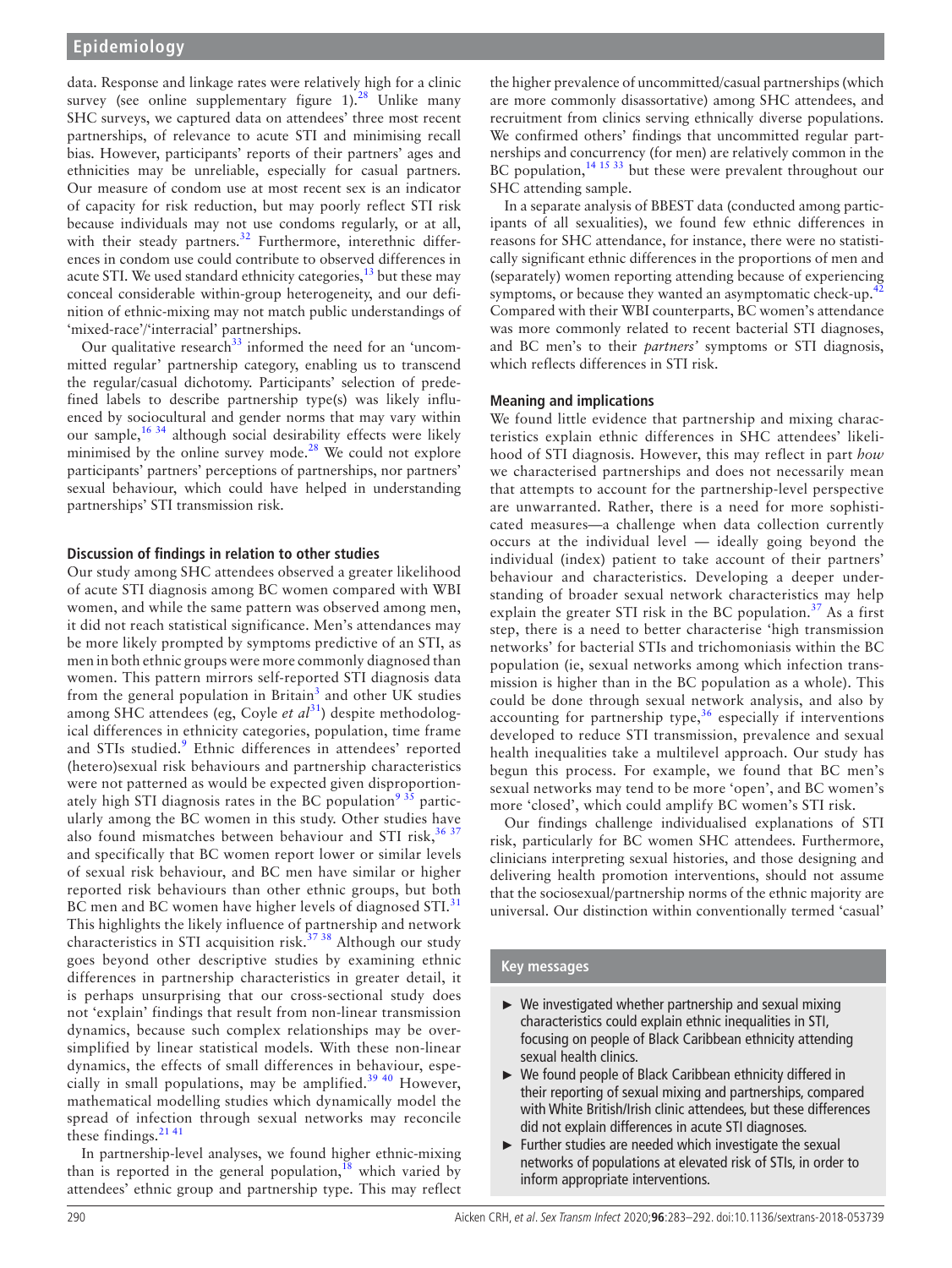data. Response and linkage rates were relatively high for a clinic survey (see online supplementary figure  $1$ ).<sup>28</sup> Unlike many SHC surveys, we captured data on attendees' three most recent partnerships, of relevance to acute STI and minimising recall bias. However, participants' reports of their partners' ages and ethnicities may be unreliable, especially for casual partners. Our measure of condom use at most recent sex is an indicator of capacity for risk reduction, but may poorly reflect STI risk because individuals may not use condoms regularly, or at all, with their steady partners. $32$  Furthermore, interethnic differences in condom use could contribute to observed differences in acute STI. We used standard ethnicity categories, $13$  but these may conceal considerable within-group heterogeneity, and our definition of ethnic-mixing may not match public understandings of 'mixed-race'/'interracial' partnerships.

Our qualitative research $33$  informed the need for an 'uncommitted regular' partnership category, enabling us to transcend the regular/casual dichotomy. Participants' selection of predefined labels to describe partnership type(s) was likely influenced by sociocultural and gender norms that may vary within our sample,[16 34](#page-8-10) although social desirability effects were likely minimised by the online survey mode.<sup>28</sup> We could not explore participants' partners' perceptions of partnerships, nor partners' sexual behaviour, which could have helped in understanding partnerships' STI transmission risk.

## **Discussion of findings in relation to other studies**

Our study among SHC attendees observed a greater likelihood of acute STI diagnosis among BC women compared with WBI women, and while the same pattern was observed among men, it did not reach statistical significance. Men's attendances may be more likely prompted by symptoms predictive of an STI, as men in both ethnic groups were more commonly diagnosed than women. This pattern mirrors self-reported STI diagnosis data from the general population in Britain<sup>[3](#page-8-4)</sup> and other UK studies among SHC attendees (eg, Coyle *et al*<sup>31</sup>) despite methodological differences in ethnicity categories, population, time frame and STIs studied.<sup>[9](#page-8-2)</sup> Ethnic differences in attendees' reported (hetero)sexual risk behaviours and partnership characteristics were not patterned as would be expected given disproportionately high STI diagnosis rates in the BC population<sup>9 35</sup> particularly among the BC women in this study. Other studies have also found mismatches between behaviour and STI risk,  $36\,37$ and specifically that BC women report lower or similar levels of sexual risk behaviour, and BC men have similar or higher reported risk behaviours than other ethnic groups, but both BC men and BC women have higher levels of diagnosed STI.<sup>[31](#page-9-4)</sup> This highlights the likely influence of partnership and network characteristics in STI acquisition risk.<sup>37 38</sup> Although our study goes beyond other descriptive studies by examining ethnic differences in partnership characteristics in greater detail, it is perhaps unsurprising that our cross-sectional study does not 'explain' findings that result from non-linear transmission dynamics, because such complex relationships may be oversimplified by linear statistical models. With these non-linear dynamics, the effects of small differences in behaviour, espe-cially in small populations, may be amplified.<sup>[39 40](#page-9-7)</sup> However, mathematical modelling studies which dynamically model the spread of infection through sexual networks may reconcile these findings. $2141$ 

In partnership-level analyses, we found higher ethnic-mixing than is reported in the general population,<sup>18</sup> which varied by attendees' ethnic group and partnership type. This may reflect

the higher prevalence of uncommitted/casual partnerships (which are more commonly disassortative) among SHC attendees, and recruitment from clinics serving ethnically diverse populations. We confirmed others' findings that uncommitted regular partnerships and concurrency (for men) are relatively common in the BC population,<sup>14 15 33</sup> but these were prevalent throughout our SHC attending sample.

In a separate analysis of BBEST data (conducted among participants of all sexualities), we found few ethnic differences in reasons for SHC attendance, for instance, there were no statistically significant ethnic differences in the proportions of men and (separately) women reporting attending because of experiencing symptoms, or because they wanted an asymptomatic check-up.<sup>4</sup> Compared with their WBI counterparts, BC women's attendance was more commonly related to recent bacterial STI diagnoses, and BC men's to their *partners'* symptoms or STI diagnosis, which reflects differences in STI risk.

## **Meaning and implications**

We found little evidence that partnership and mixing characteristics explain ethnic differences in SHC attendees' likelihood of STI diagnosis. However, this may reflect in part *how* we characterised partnerships and does not necessarily mean that attempts to account for the partnership-level perspective are unwarranted. Rather, there is a need for more sophisticated measures—a challenge when data collection currently occurs at the individual level — ideally going beyond the individual (index) patient to take account of their partners' behaviour and characteristics. Developing a deeper understanding of broader sexual network characteristics may help explain the greater STI risk in the BC population.<sup>[37](#page-9-6)</sup> As a first step, there is a need to better characterise 'high transmission networks' for bacterial STIs and trichomoniasis within the BC population (ie, sexual networks among which infection transmission is higher than in the BC population as a whole). This could be done through sexual network analysis, and also by accounting for partnership type, $36$  especially if interventions developed to reduce STI transmission, prevalence and sexual health inequalities take a multilevel approach. Our study has begun this process. For example, we found that BC men's sexual networks may tend to be more 'open', and BC women's more 'closed', which could amplify BC women's STI risk.

Our findings challenge individualised explanations of STI risk, particularly for BC women SHC attendees. Furthermore, clinicians interpreting sexual histories, and those designing and delivering health promotion interventions, should not assume that the sociosexual/partnership norms of the ethnic majority are universal. Our distinction within conventionally termed 'casual'

### **Key messages**

- ► We investigated whether partnership and sexual mixing characteristics could explain ethnic inequalities in STI, focusing on people of Black Caribbean ethnicity attending sexual health clinics.
- ► We found people of Black Caribbean ethnicity differed in their reporting of sexual mixing and partnerships, compared with White British/Irish clinic attendees, but these differences did not explain differences in acute STI diagnoses.
- ► Further studies are needed which investigate the sexual networks of populations at elevated risk of STIs, in order to inform appropriate interventions.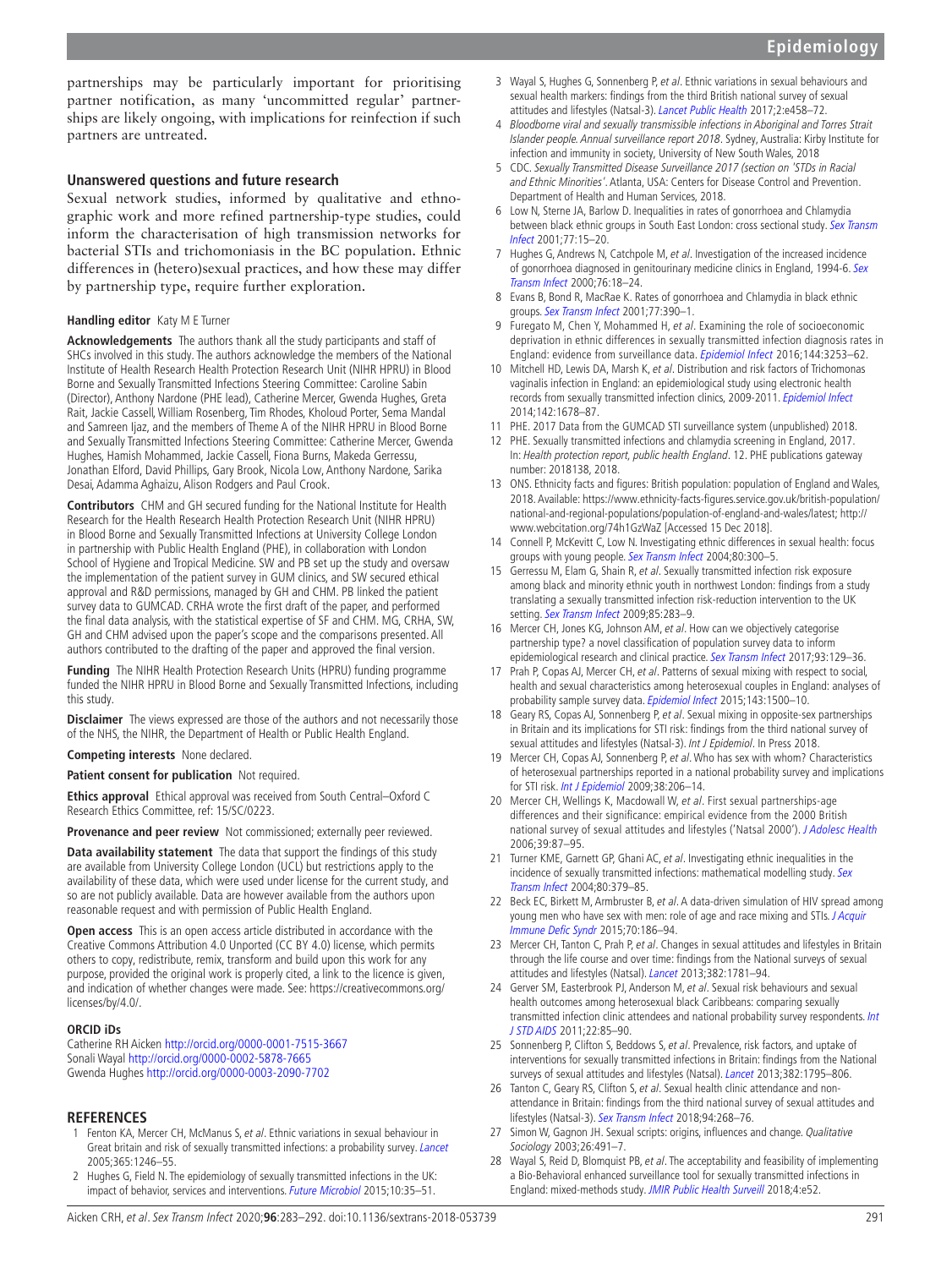partnerships may be particularly important for prioritising partner notification, as many 'uncommitted regular' partnerships are likely ongoing, with implications for reinfection if such partners are untreated.

## **Unanswered questions and future research**

Sexual network studies, informed by qualitative and ethnographic work and more refined partnership-type studies, could inform the characterisation of high transmission networks for bacterial STIs and trichomoniasis in the BC population. Ethnic differences in (hetero)sexual practices, and how these may differ by partnership type, require further exploration.

#### **Handling editor** Katy M E Turner

**Acknowledgements** The authors thank all the study participants and staff of SHCs involved in this study. The authors acknowledge the members of the National Institute of Health Research Health Protection Research Unit (NIHR HPRU) in Blood Borne and Sexually Transmitted Infections Steering Committee: Caroline Sabin (Director), Anthony Nardone (PHE lead), Catherine Mercer, Gwenda Hughes, Greta Rait, Jackie Cassell, William Rosenberg, Tim Rhodes, Kholoud Porter, Sema Mandal and Samreen Ijaz, and the members of Theme A of the NIHR HPRU in Blood Borne and Sexually Transmitted Infections Steering Committee: Catherine Mercer, Gwenda Hughes, Hamish Mohammed, Jackie Cassell, Fiona Burns, Makeda Gerressu, Jonathan Elford, David Phillips, Gary Brook, Nicola Low, Anthony Nardone, Sarika Desai, Adamma Aghaizu, Alison Rodgers and Paul Crook.

**Contributors** CHM and GH secured funding for the National Institute for Health Research for the Health Research Health Protection Research Unit (NIHR HPRU) in Blood Borne and Sexually Transmitted Infections at University College London in partnership with Public Health England (PHE), in collaboration with London School of Hygiene and Tropical Medicine. SW and PB set up the study and oversaw the implementation of the patient survey in GUM clinics, and SW secured ethical approval and R&D permissions, managed by GH and CHM. PB linked the patient survey data to GUMCAD. CRHA wrote the first draft of the paper, and performed the final data analysis, with the statistical expertise of SF and CHM. MG, CRHA, SW, GH and CHM advised upon the paper's scope and the comparisons presented. All authors contributed to the drafting of the paper and approved the final version.

**Funding** The NIHR Health Protection Research Units (HPRU) funding programme funded the NIHR HPRU in Blood Borne and Sexually Transmitted Infections, including this study.

**Disclaimer** The views expressed are those of the authors and not necessarily those of the NHS, the NIHR, the Department of Health or Public Health England.

**Competing interests** None declared.

#### **Patient consent for publication** Not required.

**Ethics approval** Ethical approval was received from South Central–Oxford C Research Ethics Committee, ref: 15/SC/0223.

**Provenance and peer review** Not commissioned; externally peer reviewed.

**Data availability statement** The data that support the findings of this study are available from University College London (UCL) but restrictions apply to the availability of these data, which were used under license for the current study, and so are not publicly available. Data are however available from the authors upon reasonable request and with permission of Public Health England.

**Open access** This is an open access article distributed in accordance with the Creative Commons Attribution 4.0 Unported (CC BY 4.0) license, which permits others to copy, redistribute, remix, transform and build upon this work for any purpose, provided the original work is properly cited, a link to the licence is given, and indication of whether changes were made. See: [https://creativecommons.org/](https://creativecommons.org/licenses/by/4.0/) [licenses/by/4.0/.](https://creativecommons.org/licenses/by/4.0/)

### **ORCID iDs**

Catherine RH Aicken<http://orcid.org/0000-0001-7515-3667> Sonali Wayal <http://orcid.org/0000-0002-5878-7665> Gwenda Hughes <http://orcid.org/0000-0003-2090-7702>

### **References**

- <span id="page-8-0"></span>1 Fenton KA, Mercer CH, McManus S, et al. Ethnic variations in sexual behaviour in Great britain and risk of sexually transmitted infections: a probability survey. [Lancet](http://dx.doi.org/10.1016/S0140-6736(05)74813-3) 2005;365:1246–55.
- 2 Hughes G, Field N. The epidemiology of sexually transmitted infections in the UK: impact of behavior, services and interventions. [Future Microbiol](http://dx.doi.org/10.2217/fmb.14.110) 2015;10:35-51.
- <span id="page-8-4"></span>3 Wayal S, Hughes G, Sonnenberg P, et al. Ethnic variations in sexual behaviours and sexual health markers: findings from the third British national survey of sexual attitudes and lifestyles (Natsal-3). [Lancet Public Health](http://dx.doi.org/10.1016/S2468-2667(17)30159-7) 2017;2:e458-72.
- <span id="page-8-1"></span>4 Bloodborne viral and sexually transmissible infections in Aboriginal and Torres Strait Islander people. Annual surveillance report 2018. Sydney, Australia: Kirby Institute for infection and immunity in society, University of New South Wales, 2018
- 5 CDC. Sexually Transmitted Disease Surveillance 2017 (section on 'STDs in Racial and Ethnic Minorities'. Atlanta, USA: Centers for Disease Control and Prevention. Department of Health and Human Services, 2018.
- 6 Low N, Sterne JA, Barlow D. Inequalities in rates of gonorrhoea and Chlamydia between black ethnic groups in South East London: cross sectional study. Sex Transm [Infect](http://dx.doi.org/10.1136/sti.77.1.15) 2001;77:15–20.
- 7 Hughes G, Andrews N, Catchpole M, et al. Investigation of the increased incidence of gonorrhoea diagnosed in genitourinary medicine clinics in England, 1994-6. Sex [Transm Infect](http://dx.doi.org/10.1136/sti.76.1.18) 2000;76:18–24.
- 8 Evans B, Bond R, MacRae K. Rates of gonorrhoea and Chlamydia in black ethnic groups. [Sex Transm Infect](http://dx.doi.org/10.1136/sti.77.5.390-c) 2001;77:390–1.
- <span id="page-8-2"></span>9 Furegato M, Chen Y, Mohammed H, et al. Examining the role of socioeconomic deprivation in ethnic differences in sexually transmitted infection diagnosis rates in England: evidence from surveillance data. [Epidemiol Infect](http://dx.doi.org/10.1017/S0950268816001679) 2016;144:3253–62.
- <span id="page-8-3"></span>10 Mitchell HD, Lewis DA, Marsh K, et al. Distribution and risk factors of Trichomonas vaginalis infection in England: an epidemiological study using electronic health records from sexually transmitted infection clinics, 2009-2011. [Epidemiol Infect](http://dx.doi.org/10.1017/S0950268813002902) 2014;142:1678–87.
- <span id="page-8-5"></span>11 PHE. 2017 Data from the GUMCAD STI surveillance system (unpublished) 2018.
- <span id="page-8-6"></span>12 PHE. Sexually transmitted infections and chlamydia screening in England, 2017. In: Health protection report, public health England. 12. PHE publications gateway number: 2018138, 2018.
- <span id="page-8-7"></span>13 ONS. Ethnicity facts and figures: British population: population of England and Wales, 2018. Available: [https://www.ethnicity-facts-figures.service.gov.uk/british-population/](https://www.ethnicity-facts-figures.service.gov.uk/british-population/national-and-regional-populations/population-of-england-and-wales/latest) [national-and-regional-populations/population-of-england-and-wales/latest;](https://www.ethnicity-facts-figures.service.gov.uk/british-population/national-and-regional-populations/population-of-england-and-wales/latest) [http://](http://www.webcitation.org/74h1GzWaZ) [www.webcitation.org/74h1GzWaZ](http://www.webcitation.org/74h1GzWaZ) [Accessed 15 Dec 2018].
- <span id="page-8-8"></span>14 Connell P, McKevitt C, Low N. Investigating ethnic differences in sexual health: focus groups with young people. [Sex Transm Infect](http://dx.doi.org/10.1136/sti.2003.005181) 2004;80:300-5.
- <span id="page-8-9"></span>15 Gerressu M, Elam G, Shain R, et al. Sexually transmitted infection risk exposure among black and minority ethnic youth in northwest London: findings from a study translating a sexually transmitted infection risk-reduction intervention to the UK setting. [Sex Transm Infect](http://dx.doi.org/10.1136/sti.2008.034645) 2009;85:283-9.
- <span id="page-8-10"></span>16 Mercer CH, Jones KG, Johnson AM, et al. How can we objectively categorise partnership type? a novel classification of population survey data to inform epidemiological research and clinical practice. [Sex Transm Infect](http://dx.doi.org/10.1136/sextrans-2016-052646) 2017;93:129-36.
- <span id="page-8-11"></span>17 Prah P, Copas AJ, Mercer CH, et al. Patterns of sexual mixing with respect to social, health and sexual characteristics among heterosexual couples in England: analyses of probability sample survey data. [Epidemiol Infect](http://dx.doi.org/10.1017/S0950268814002155) 2015;143:1500-10.
- <span id="page-8-12"></span>18 Geary RS, Copas AJ, Sonnenberg P, et al. Sexual mixing in opposite-sex partnerships in Britain and its implications for STI risk: findings from the third national survey of sexual attitudes and lifestyles (Natsal-3). Int J Epidemiol. In Press 2018.
- 19 Mercer CH, Copas AJ, Sonnenberg P, et al. Who has sex with whom? Characteristics of heterosexual partnerships reported in a national probability survey and implications for STI risk. [Int J Epidemiol](http://dx.doi.org/10.1093/ije/dyn216) 2009;38:206–14.
- 20 Mercer CH, Wellings K, Macdowall W, et al. First sexual partnerships-age differences and their significance: empirical evidence from the 2000 British national survey of sexual attitudes and lifestyles ('Natsal 2000'). [J Adolesc Health](http://dx.doi.org/10.1016/j.jadohealth.2005.10.007) 2006;39:87–95.
- <span id="page-8-13"></span>21 Turner KME, Garnett GP, Ghani AC, et al. Investigating ethnic inequalities in the incidence of sexually transmitted infections: mathematical modelling study. Sex [Transm Infect](http://dx.doi.org/10.1136/sti.2003.007575) 2004;80:379–85.
- 22 Beck EC, Birkett M, Armbruster B, et al. A data-driven simulation of HIV spread among young men who have sex with men: role of age and race mixing and STIs. J Acquir [Immune Defic Syndr](http://dx.doi.org/10.1097/QAI.0000000000000733) 2015;70:186–94.
- <span id="page-8-14"></span>23 Mercer CH, Tanton C, Prah P, et al. Changes in sexual attitudes and lifestyles in Britain through the life course and over time: findings from the National surveys of sexual attitudes and lifestyles (Natsal). [Lancet](http://dx.doi.org/10.1016/S0140-6736(13)62035-8) 2013;382:1781–94.
- <span id="page-8-15"></span>24 Gerver SM, Easterbrook PJ, Anderson M, et al. Sexual risk behaviours and sexual health outcomes among heterosexual black Caribbeans: comparing sexually transmitted infection clinic attendees and national probability survey respondents. Int [J STD AIDS](http://dx.doi.org/10.1258/ijsa.2010.010301) 2011;22:85–90.
- <span id="page-8-16"></span>25 Sonnenberg P, Clifton S, Beddows S, et al. Prevalence, risk factors, and uptake of interventions for sexually transmitted infections in Britain: findings from the National surveys of sexual attitudes and lifestyles (Natsal). [Lancet](http://dx.doi.org/10.1016/S0140-6736(13)61947-9) 2013;382:1795-806.
- 26 Tanton C, Geary RS, Clifton S, et al. Sexual health clinic attendance and nonattendance in Britain: findings from the third national survey of sexual attitudes and lifestyles (Natsal-3). [Sex Transm Infect](http://dx.doi.org/10.1136/sextrans-2017-053193) 2018;94:268-76.
- <span id="page-8-17"></span>27 Simon W, Gagnon JH. Sexual scripts: origins, influences and change. Qualitative Sociology 2003;26:491–7.
- <span id="page-8-18"></span>28 Wayal S, Reid D, Blomquist PB, et al. The acceptability and feasibility of implementing a Bio-Behavioral enhanced surveillance tool for sexually transmitted infections in England: mixed-methods study. [JMIR Public Health Surveill](http://dx.doi.org/10.2196/publichealth.9010) 2018;4:e52.